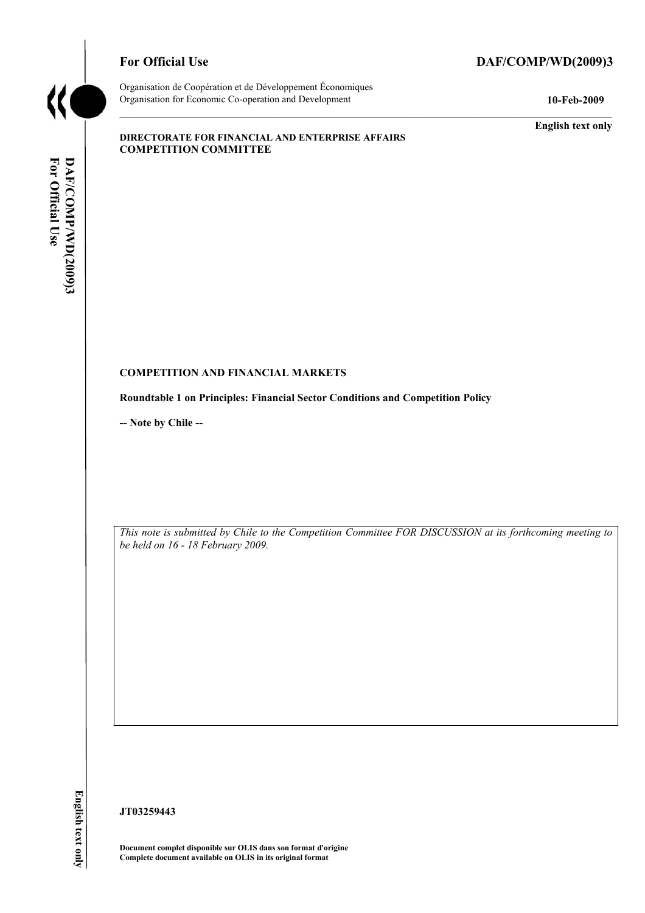

### For Official Use DAF/COMP/WD(2009)3

Organisation de Coopération et de Développement Économiques Organisation for Economic Co-operation and Development **10-Feb-2009** 

**English text only** 

#### **DIRECTORATE FOR FINANCIAL AND ENTERPRISE AFFAIRS COMPETITION COMMITTEE**

#### **COMPETITION AND FINANCIAL MARKETS**

**Roundtable 1 on Principles: Financial Sector Conditions and Competition Policy** 

**-- Note by Chile --** 

*This note is submitted by Chile to the Competition Committee FOR DISCUSSION at its forthcoming meeting to be held on 16 - 18 February 2009.* 

**JT03259443** 

**Document complet disponible sur OLIS dans son format d'origine Complete document available on OLIS in its original format**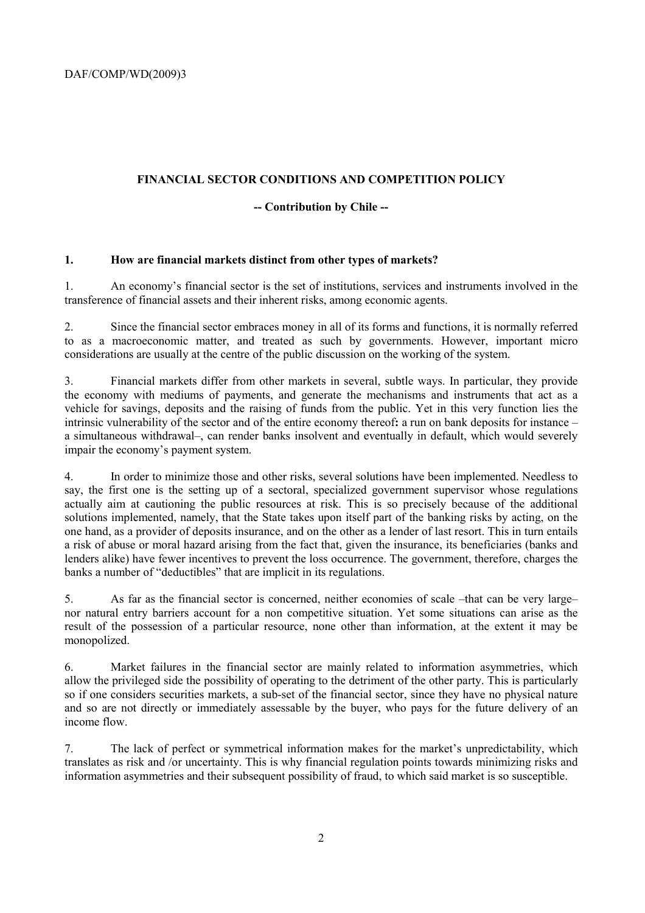## **FINANCIAL SECTOR CONDITIONS AND COMPETITION POLICY**

#### **-- Contribution by Chile --**

#### **1. How are financial markets distinct from other types of markets?**

1. An economy's financial sector is the set of institutions, services and instruments involved in the transference of financial assets and their inherent risks, among economic agents.

2. Since the financial sector embraces money in all of its forms and functions, it is normally referred to as a macroeconomic matter, and treated as such by governments. However, important micro considerations are usually at the centre of the public discussion on the working of the system.

3. Financial markets differ from other markets in several, subtle ways. In particular, they provide the economy with mediums of payments, and generate the mechanisms and instruments that act as a vehicle for savings, deposits and the raising of funds from the public. Yet in this very function lies the intrinsic vulnerability of the sector and of the entire economy thereof**:** a run on bank deposits for instance – a simultaneous withdrawal–, can render banks insolvent and eventually in default, which would severely impair the economy's payment system.

4. In order to minimize those and other risks, several solutions have been implemented. Needless to say, the first one is the setting up of a sectoral, specialized government supervisor whose regulations actually aim at cautioning the public resources at risk. This is so precisely because of the additional solutions implemented, namely, that the State takes upon itself part of the banking risks by acting, on the one hand, as a provider of deposits insurance, and on the other as a lender of last resort. This in turn entails a risk of abuse or moral hazard arising from the fact that, given the insurance, its beneficiaries (banks and lenders alike) have fewer incentives to prevent the loss occurrence. The government, therefore, charges the banks a number of "deductibles" that are implicit in its regulations.

5. As far as the financial sector is concerned, neither economies of scale –that can be very large– nor natural entry barriers account for a non competitive situation. Yet some situations can arise as the result of the possession of a particular resource, none other than information, at the extent it may be monopolized.

6. Market failures in the financial sector are mainly related to information asymmetries, which allow the privileged side the possibility of operating to the detriment of the other party. This is particularly so if one considers securities markets, a sub-set of the financial sector, since they have no physical nature and so are not directly or immediately assessable by the buyer, who pays for the future delivery of an income flow.

7. The lack of perfect or symmetrical information makes for the market's unpredictability, which translates as risk and /or uncertainty. This is why financial regulation points towards minimizing risks and information asymmetries and their subsequent possibility of fraud, to which said market is so susceptible.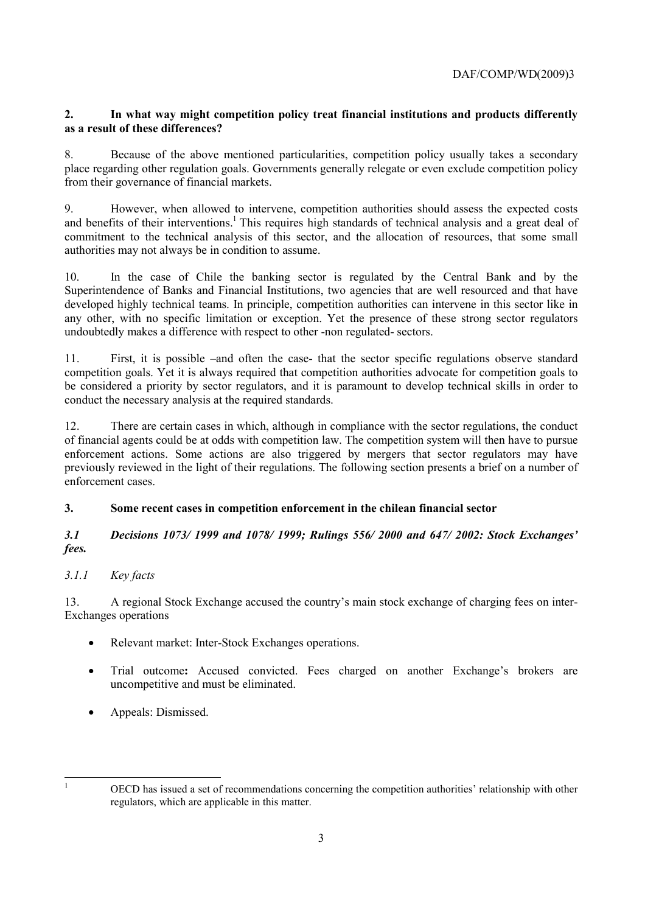### **2. In what way might competition policy treat financial institutions and products differently as a result of these differences?**

8. Because of the above mentioned particularities, competition policy usually takes a secondary place regarding other regulation goals. Governments generally relegate or even exclude competition policy from their governance of financial markets.

9. However, when allowed to intervene, competition authorities should assess the expected costs and benefits of their interventions.<sup>1</sup> This requires high standards of technical analysis and a great deal of commitment to the technical analysis of this sector, and the allocation of resources, that some small authorities may not always be in condition to assume.

10. In the case of Chile the banking sector is regulated by the Central Bank and by the Superintendence of Banks and Financial Institutions, two agencies that are well resourced and that have developed highly technical teams. In principle, competition authorities can intervene in this sector like in any other, with no specific limitation or exception. Yet the presence of these strong sector regulators undoubtedly makes a difference with respect to other -non regulated- sectors.

11. First, it is possible –and often the case- that the sector specific regulations observe standard competition goals. Yet it is always required that competition authorities advocate for competition goals to be considered a priority by sector regulators, and it is paramount to develop technical skills in order to conduct the necessary analysis at the required standards.

12. There are certain cases in which, although in compliance with the sector regulations, the conduct of financial agents could be at odds with competition law. The competition system will then have to pursue enforcement actions. Some actions are also triggered by mergers that sector regulators may have previously reviewed in the light of their regulations. The following section presents a brief on a number of enforcement cases.

### **3. Some recent cases in competition enforcement in the chilean financial sector**

### *3.1 Decisions 1073/ 1999 and 1078/ 1999; Rulings 556/ 2000 and 647/ 2002: Stock Exchanges' fees.*

# *3.1.1 Key facts*

13. A regional Stock Exchange accused the country's main stock exchange of charging fees on inter-Exchanges operations

- Relevant market: Inter-Stock Exchanges operations.
- Trial outcome**:** Accused convicted. Fees charged on another Exchange's brokers are uncompetitive and must be eliminated.
- Appeals: Dismissed.

<sup>|&</sup>lt;br>|<br>|

OECD has issued a set of recommendations concerning the competition authorities' relationship with other regulators, which are applicable in this matter.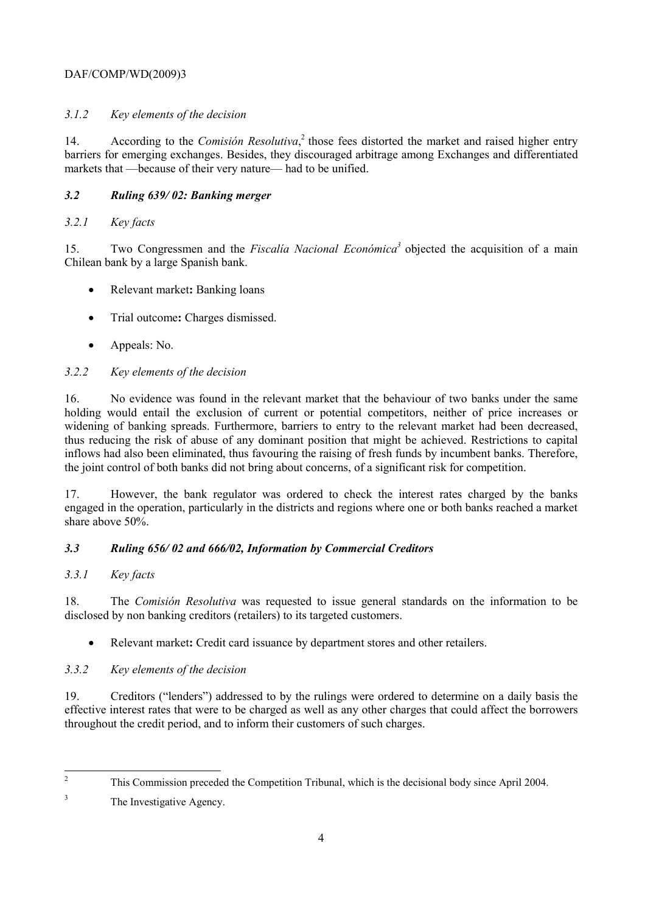# DAF/COMP/WD(2009)3

# *3.1.2 Key elements of the decision*

14. According to the *Comisión Resolutiva*, <sup>2</sup> those fees distorted the market and raised higher entry barriers for emerging exchanges. Besides, they discouraged arbitrage among Exchanges and differentiated markets that —because of their very nature— had to be unified.

## *3.2 Ruling 639/ 02: Banking merger*

## *3.2.1 Key facts*

15. Two Congressmen and the *Fiscalía Nacional Económica3* objected the acquisition of a main Chilean bank by a large Spanish bank.

- Relevant market**:** Banking loans
- Trial outcome**:** Charges dismissed.
- Appeals: No.

# *3.2.2 Key elements of the decision*

16. No evidence was found in the relevant market that the behaviour of two banks under the same holding would entail the exclusion of current or potential competitors, neither of price increases or widening of banking spreads. Furthermore, barriers to entry to the relevant market had been decreased, thus reducing the risk of abuse of any dominant position that might be achieved. Restrictions to capital inflows had also been eliminated, thus favouring the raising of fresh funds by incumbent banks. Therefore, the joint control of both banks did not bring about concerns, of a significant risk for competition.

17. However, the bank regulator was ordered to check the interest rates charged by the banks engaged in the operation, particularly in the districts and regions where one or both banks reached a market share above 50%.

# *3.3 Ruling 656/ 02 and 666/02, Information by Commercial Creditors*

### *3.3.1 Key facts*

18. The *Comisión Resolutiva* was requested to issue general standards on the information to be disclosed by non banking creditors (retailers) to its targeted customers.

• Relevant market**:** Credit card issuance by department stores and other retailers.

# *3.3.2 Key elements of the decision*

19. Creditors ("lenders") addressed to by the rulings were ordered to determine on a daily basis the effective interest rates that were to be charged as well as any other charges that could affect the borrowers throughout the credit period, and to inform their customers of such charges.

 $\frac{1}{2}$ This Commission preceded the Competition Tribunal, which is the decisional body since April 2004.

<sup>3</sup> The Investigative Agency.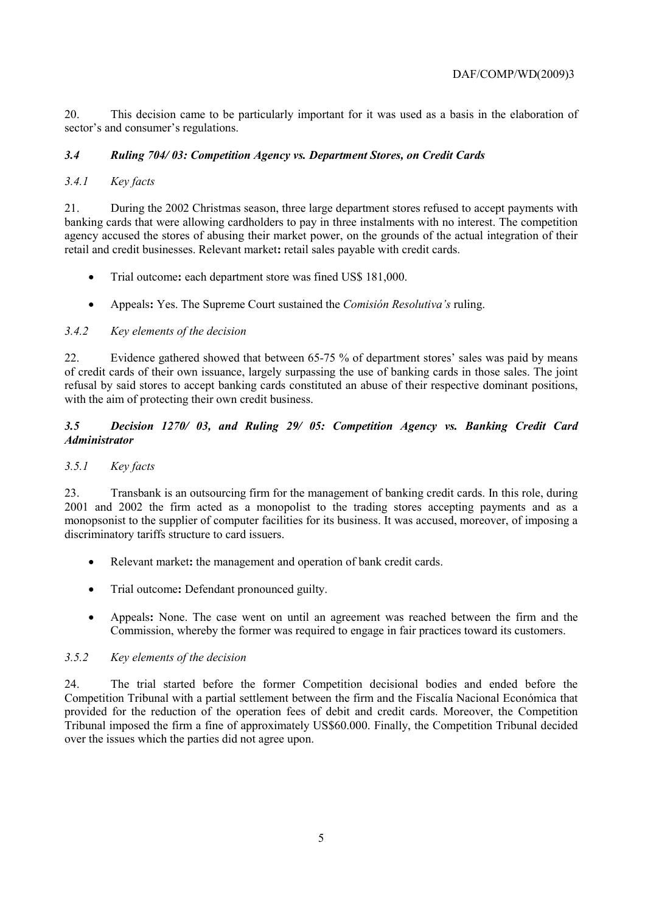20. This decision came to be particularly important for it was used as a basis in the elaboration of sector's and consumer's regulations.

## *3.4 Ruling 704/ 03: Competition Agency vs. Department Stores, on Credit Cards*

## *3.4.1 Key facts*

21. During the 2002 Christmas season, three large department stores refused to accept payments with banking cards that were allowing cardholders to pay in three instalments with no interest. The competition agency accused the stores of abusing their market power, on the grounds of the actual integration of their retail and credit businesses. Relevant market**:** retail sales payable with credit cards.

- Trial outcome**:** each department store was fined US\$ 181,000.
- Appeals**:** Yes. The Supreme Court sustained the *Comisión Resolutiva's* ruling.

### *3.4.2 Key elements of the decision*

22. Evidence gathered showed that between 65-75 % of department stores' sales was paid by means of credit cards of their own issuance, largely surpassing the use of banking cards in those sales. The joint refusal by said stores to accept banking cards constituted an abuse of their respective dominant positions, with the aim of protecting their own credit business.

### *3.5 Decision 1270/ 03, and Ruling 29/ 05: Competition Agency vs. Banking Credit Card Administrator*

### *3.5.1 Key facts*

23. Transbank is an outsourcing firm for the management of banking credit cards. In this role, during 2001 and 2002 the firm acted as a monopolist to the trading stores accepting payments and as a monopsonist to the supplier of computer facilities for its business. It was accused, moreover, of imposing a discriminatory tariffs structure to card issuers.

- Relevant market**:** the management and operation of bank credit cards.
- Trial outcome**:** Defendant pronounced guilty.
- Appeals**:** None. The case went on until an agreement was reached between the firm and the Commission, whereby the former was required to engage in fair practices toward its customers.

### *3.5.2 Key elements of the decision*

24. The trial started before the former Competition decisional bodies and ended before the Competition Tribunal with a partial settlement between the firm and the Fiscalía Nacional Económica that provided for the reduction of the operation fees of debit and credit cards. Moreover, the Competition Tribunal imposed the firm a fine of approximately US\$60.000. Finally, the Competition Tribunal decided over the issues which the parties did not agree upon.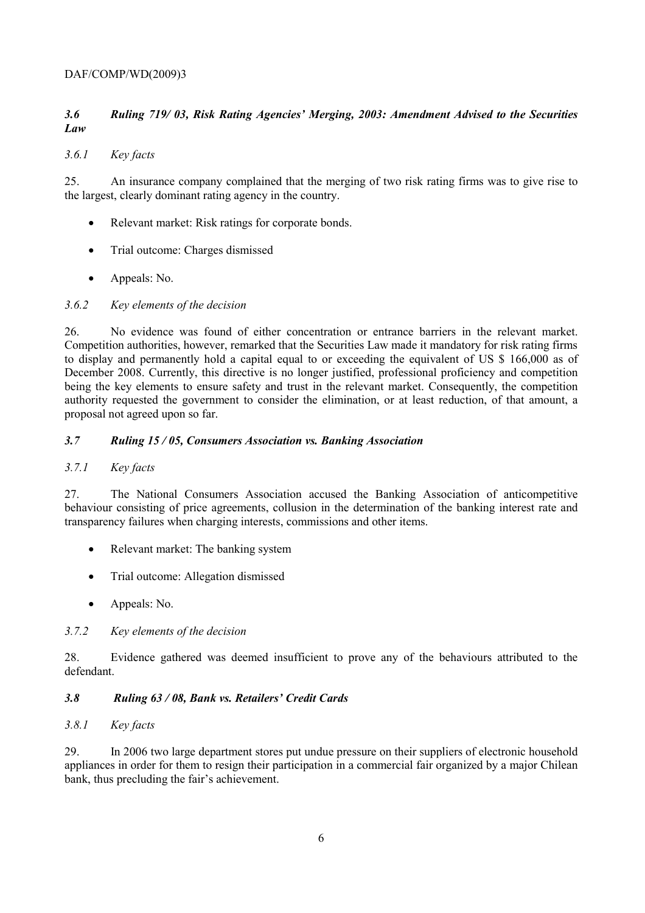#### DAF/COMP/WD(2009)3

# *3.6 Ruling 719/ 03, Risk Rating Agencies' Merging, 2003: Amendment Advised to the Securities Law*

#### *3.6.1 Key facts*

25. An insurance company complained that the merging of two risk rating firms was to give rise to the largest, clearly dominant rating agency in the country.

- Relevant market: Risk ratings for corporate bonds.
- Trial outcome: Charges dismissed
- Appeals: No.

#### *3.6.2 Key elements of the decision*

26. No evidence was found of either concentration or entrance barriers in the relevant market. Competition authorities, however, remarked that the Securities Law made it mandatory for risk rating firms to display and permanently hold a capital equal to or exceeding the equivalent of US \$ 166,000 as of December 2008. Currently, this directive is no longer justified, professional proficiency and competition being the key elements to ensure safety and trust in the relevant market. Consequently, the competition authority requested the government to consider the elimination, or at least reduction, of that amount, a proposal not agreed upon so far.

#### *3.7 Ruling 15 / 05, Consumers Association vs. Banking Association*

#### *3.7.1 Key facts*

27. The National Consumers Association accused the Banking Association of anticompetitive behaviour consisting of price agreements, collusion in the determination of the banking interest rate and transparency failures when charging interests, commissions and other items.

- Relevant market: The banking system
- Trial outcome: Allegation dismissed
- Appeals: No.

#### *3.7.2 Key elements of the decision*

28. Evidence gathered was deemed insufficient to prove any of the behaviours attributed to the defendant.

#### *3.8 Ruling 63 / 08, Bank vs. Retailers' Credit Cards*

#### *3.8.1 Key facts*

29. In 2006 two large department stores put undue pressure on their suppliers of electronic household appliances in order for them to resign their participation in a commercial fair organized by a major Chilean bank, thus precluding the fair's achievement.